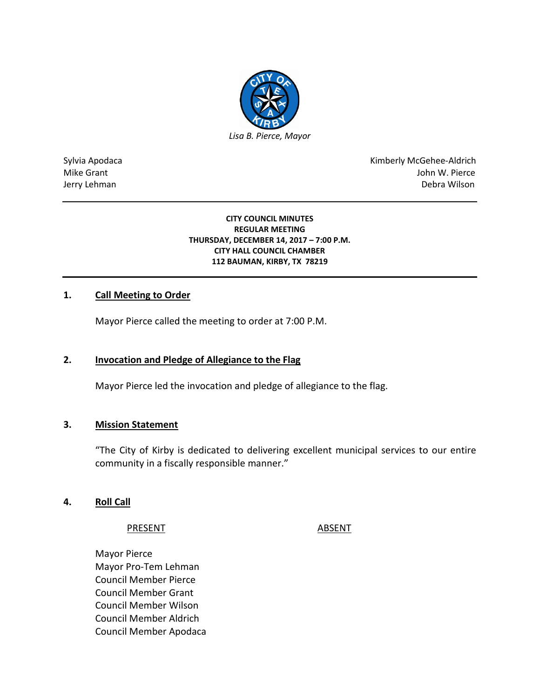

Sylvia Apodaca National Research Communication of the Communication of the Kimberly McGehee-Aldrich Mike Grant John W. Pierce Jerry Lehman Debra Wilson

#### **CITY COUNCIL MINUTES REGULAR MEETING THURSDAY, DECEMBER 14, 2017 – 7:00 P.M. CITY HALL COUNCIL CHAMBER 112 BAUMAN, KIRBY, TX 78219**

## **1. Call Meeting to Order**

Mayor Pierce called the meeting to order at 7:00 P.M.

### **2. Invocation and Pledge of Allegiance to the Flag**

Mayor Pierce led the invocation and pledge of allegiance to the flag.

#### **3. Mission Statement**

"The City of Kirby is dedicated to delivering excellent municipal services to our entire community in a fiscally responsible manner."

#### **4. Roll Call**

#### PRESENT ABSENT

Mayor Pierce Mayor Pro-Tem Lehman Council Member Pierce Council Member Grant Council Member Wilson Council Member Aldrich Council Member Apodaca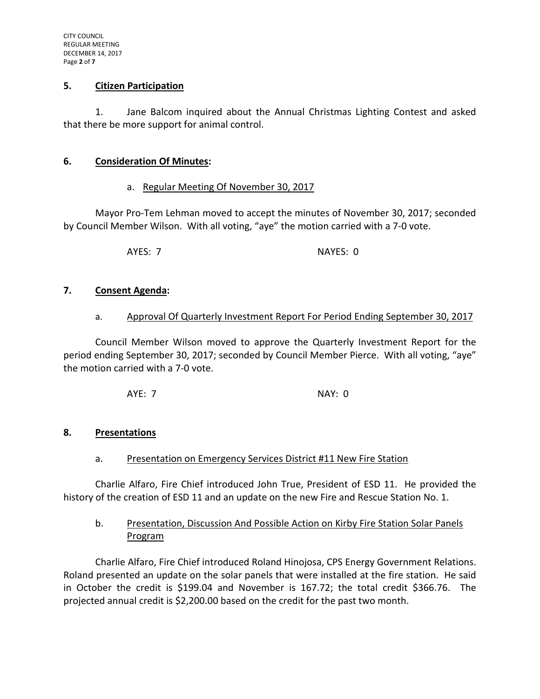#### **5. Citizen Participation**

1. Jane Balcom inquired about the Annual Christmas Lighting Contest and asked that there be more support for animal control.

### **6. Consideration Of Minutes:**

### a. Regular Meeting Of November 30, 2017

Mayor Pro-Tem Lehman moved to accept the minutes of November 30, 2017; seconded by Council Member Wilson. With all voting, "aye" the motion carried with a 7-0 vote.

AYES: 7 NAYES: 0

### **7. Consent Agenda:**

#### a. Approval Of Quarterly Investment Report For Period Ending September 30, 2017

Council Member Wilson moved to approve the Quarterly Investment Report for the period ending September 30, 2017; seconded by Council Member Pierce. With all voting, "aye" the motion carried with a 7-0 vote.

AYE: 7 NAY: 0

### **8. Presentations**

### a. Presentation on Emergency Services District #11 New Fire Station

Charlie Alfaro, Fire Chief introduced John True, President of ESD 11. He provided the history of the creation of ESD 11 and an update on the new Fire and Rescue Station No. 1.

## b. Presentation, Discussion And Possible Action on Kirby Fire Station Solar Panels Program

Charlie Alfaro, Fire Chief introduced Roland Hinojosa, CPS Energy Government Relations. Roland presented an update on the solar panels that were installed at the fire station. He said in October the credit is \$199.04 and November is 167.72; the total credit \$366.76. The projected annual credit is \$2,200.00 based on the credit for the past two month.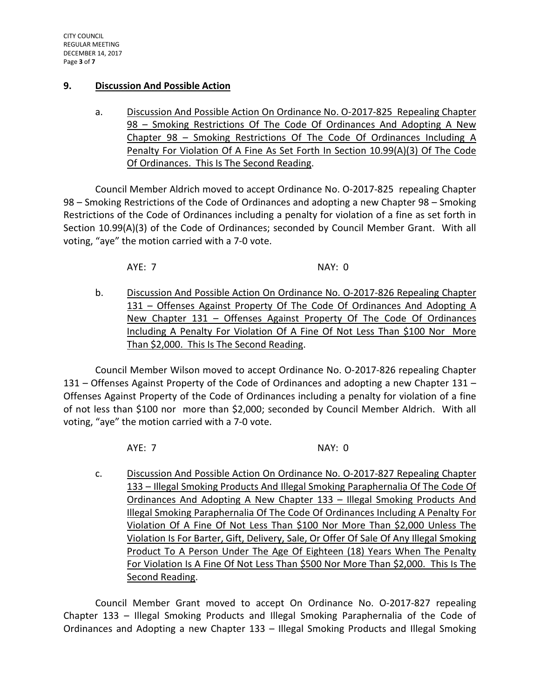### **9. Discussion And Possible Action**

a. Discussion And Possible Action On Ordinance No. O-2017-825 Repealing Chapter 98 – Smoking Restrictions Of The Code Of Ordinances And Adopting A New Chapter 98 – Smoking Restrictions Of The Code Of Ordinances Including A Penalty For Violation Of A Fine As Set Forth In Section 10.99(A)(3) Of The Code Of Ordinances. This Is The Second Reading.

Council Member Aldrich moved to accept Ordinance No. O-2017-825 repealing Chapter 98 – Smoking Restrictions of the Code of Ordinances and adopting a new Chapter 98 – Smoking Restrictions of the Code of Ordinances including a penalty for violation of a fine as set forth in Section 10.99(A)(3) of the Code of Ordinances; seconded by Council Member Grant. With all voting, "aye" the motion carried with a 7-0 vote.

AYE: 7 NAY: 0

b. Discussion And Possible Action On Ordinance No. O-2017-826 Repealing Chapter 131 – Offenses Against Property Of The Code Of Ordinances And Adopting A New Chapter 131 – Offenses Against Property Of The Code Of Ordinances Including A Penalty For Violation Of A Fine Of Not Less Than \$100 Nor More Than \$2,000. This Is The Second Reading.

Council Member Wilson moved to accept Ordinance No. O-2017-826 repealing Chapter 131 – Offenses Against Property of the Code of Ordinances and adopting a new Chapter 131 – Offenses Against Property of the Code of Ordinances including a penalty for violation of a fine of not less than \$100 nor more than \$2,000; seconded by Council Member Aldrich. With all voting, "aye" the motion carried with a 7-0 vote.

AYE: 7 NAY: 0

c. Discussion And Possible Action On Ordinance No. O-2017-827 Repealing Chapter 133 - Illegal Smoking Products And Illegal Smoking Paraphernalia Of The Code Of Ordinances And Adopting A New Chapter 133 – Illegal Smoking Products And Illegal Smoking Paraphernalia Of The Code Of Ordinances Including A Penalty For Violation Of A Fine Of Not Less Than \$100 Nor More Than \$2,000 Unless The Violation Is For Barter, Gift, Delivery, Sale, Or Offer Of Sale Of Any Illegal Smoking Product To A Person Under The Age Of Eighteen (18) Years When The Penalty For Violation Is A Fine Of Not Less Than \$500 Nor More Than \$2,000. This Is The Second Reading.

Council Member Grant moved to accept On Ordinance No. O-2017-827 repealing Chapter 133 – Illegal Smoking Products and Illegal Smoking Paraphernalia of the Code of Ordinances and Adopting a new Chapter 133 – Illegal Smoking Products and Illegal Smoking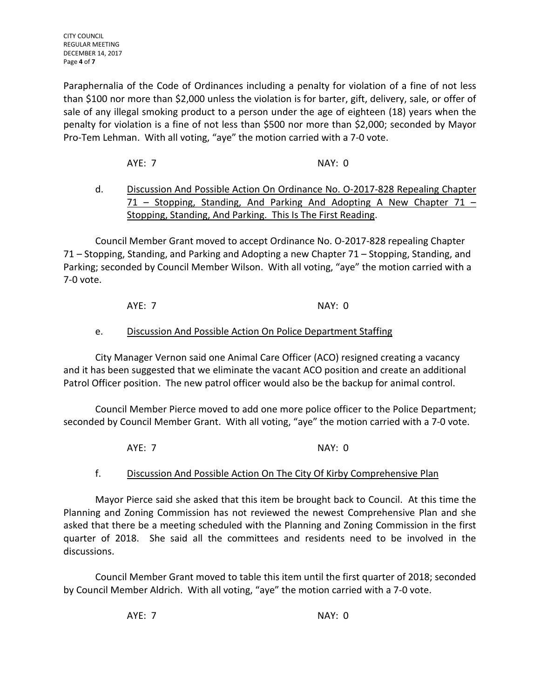Paraphernalia of the Code of Ordinances including a penalty for violation of a fine of not less than \$100 nor more than \$2,000 unless the violation is for barter, gift, delivery, sale, or offer of sale of any illegal smoking product to a person under the age of eighteen (18) years when the penalty for violation is a fine of not less than \$500 nor more than \$2,000; seconded by Mayor Pro-Tem Lehman. With all voting, "aye" the motion carried with a 7-0 vote.

AYE: 7 NAY: 0

# d. Discussion And Possible Action On Ordinance No. O-2017-828 Repealing Chapter 71 – Stopping, Standing, And Parking And Adopting A New Chapter 71 – Stopping, Standing, And Parking. This Is The First Reading.

Council Member Grant moved to accept Ordinance No. O-2017-828 repealing Chapter 71 – Stopping, Standing, and Parking and Adopting a new Chapter 71 – Stopping, Standing, and Parking; seconded by Council Member Wilson. With all voting, "aye" the motion carried with a 7-0 vote.

AYE: 7 NAY: 0

# e. Discussion And Possible Action On Police Department Staffing

City Manager Vernon said one Animal Care Officer (ACO) resigned creating a vacancy and it has been suggested that we eliminate the vacant ACO position and create an additional Patrol Officer position. The new patrol officer would also be the backup for animal control.

Council Member Pierce moved to add one more police officer to the Police Department; seconded by Council Member Grant. With all voting, "aye" the motion carried with a 7-0 vote.

AYE: 7 NAY: 0

# f. Discussion And Possible Action On The City Of Kirby Comprehensive Plan

Mayor Pierce said she asked that this item be brought back to Council. At this time the Planning and Zoning Commission has not reviewed the newest Comprehensive Plan and she asked that there be a meeting scheduled with the Planning and Zoning Commission in the first quarter of 2018. She said all the committees and residents need to be involved in the discussions.

Council Member Grant moved to table this item until the first quarter of 2018; seconded by Council Member Aldrich. With all voting, "aye" the motion carried with a 7-0 vote.

AYE: 7 NAY: 0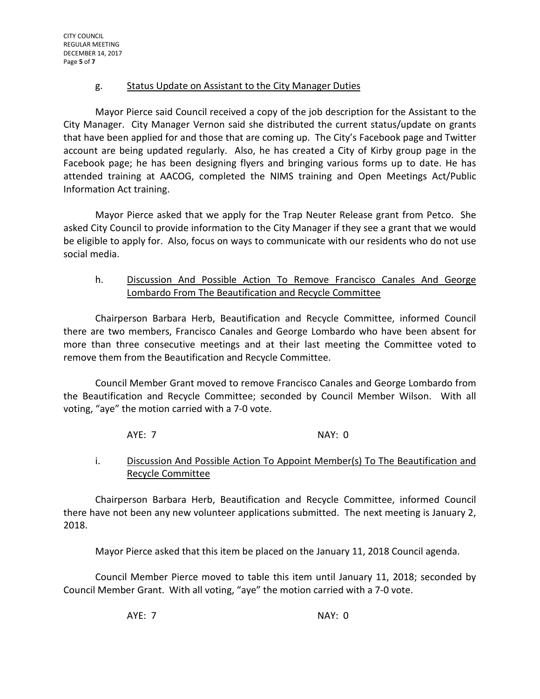## g. Status Update on Assistant to the City Manager Duties

Mayor Pierce said Council received a copy of the job description for the Assistant to the City Manager. City Manager Vernon said she distributed the current status/update on grants that have been applied for and those that are coming up. The City's Facebook page and Twitter account are being updated regularly. Also, he has created a City of Kirby group page in the Facebook page; he has been designing flyers and bringing various forms up to date. He has attended training at AACOG, completed the NIMS training and Open Meetings Act/Public Information Act training.

Mayor Pierce asked that we apply for the Trap Neuter Release grant from Petco. She asked City Council to provide information to the City Manager if they see a grant that we would be eligible to apply for. Also, focus on ways to communicate with our residents who do not use social media.

## h. Discussion And Possible Action To Remove Francisco Canales And George Lombardo From The Beautification and Recycle Committee

Chairperson Barbara Herb, Beautification and Recycle Committee, informed Council there are two members, Francisco Canales and George Lombardo who have been absent for more than three consecutive meetings and at their last meeting the Committee voted to remove them from the Beautification and Recycle Committee.

Council Member Grant moved to remove Francisco Canales and George Lombardo from the Beautification and Recycle Committee; seconded by Council Member Wilson. With all voting, "aye" the motion carried with a 7-0 vote.

# AYE: 7 NAY: 0

# i. Discussion And Possible Action To Appoint Member(s) To The Beautification and Recycle Committee

Chairperson Barbara Herb, Beautification and Recycle Committee, informed Council there have not been any new volunteer applications submitted. The next meeting is January 2, 2018.

Mayor Pierce asked that this item be placed on the January 11, 2018 Council agenda.

Council Member Pierce moved to table this item until January 11, 2018; seconded by Council Member Grant. With all voting, "aye" the motion carried with a 7-0 vote.

AYE: 7 NAY: 0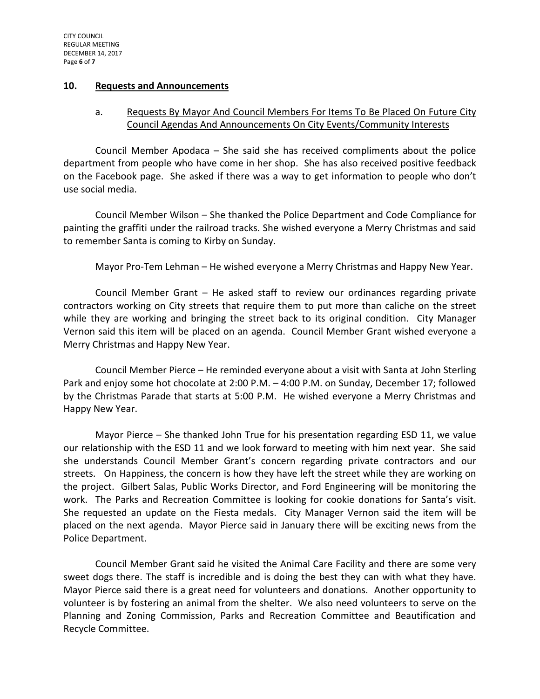#### **10. Requests and Announcements**

## a. Requests By Mayor And Council Members For Items To Be Placed On Future City Council Agendas And Announcements On City Events/Community Interests

Council Member Apodaca – She said she has received compliments about the police department from people who have come in her shop. She has also received positive feedback on the Facebook page. She asked if there was a way to get information to people who don't use social media.

Council Member Wilson – She thanked the Police Department and Code Compliance for painting the graffiti under the railroad tracks. She wished everyone a Merry Christmas and said to remember Santa is coming to Kirby on Sunday.

Mayor Pro-Tem Lehman – He wished everyone a Merry Christmas and Happy New Year.

Council Member Grant – He asked staff to review our ordinances regarding private contractors working on City streets that require them to put more than caliche on the street while they are working and bringing the street back to its original condition. City Manager Vernon said this item will be placed on an agenda. Council Member Grant wished everyone a Merry Christmas and Happy New Year.

Council Member Pierce – He reminded everyone about a visit with Santa at John Sterling Park and enjoy some hot chocolate at 2:00 P.M. – 4:00 P.M. on Sunday, December 17; followed by the Christmas Parade that starts at 5:00 P.M. He wished everyone a Merry Christmas and Happy New Year.

Mayor Pierce – She thanked John True for his presentation regarding ESD 11, we value our relationship with the ESD 11 and we look forward to meeting with him next year. She said she understands Council Member Grant's concern regarding private contractors and our streets. On Happiness, the concern is how they have left the street while they are working on the project. Gilbert Salas, Public Works Director, and Ford Engineering will be monitoring the work. The Parks and Recreation Committee is looking for cookie donations for Santa's visit. She requested an update on the Fiesta medals. City Manager Vernon said the item will be placed on the next agenda. Mayor Pierce said in January there will be exciting news from the Police Department.

Council Member Grant said he visited the Animal Care Facility and there are some very sweet dogs there. The staff is incredible and is doing the best they can with what they have. Mayor Pierce said there is a great need for volunteers and donations. Another opportunity to volunteer is by fostering an animal from the shelter. We also need volunteers to serve on the Planning and Zoning Commission, Parks and Recreation Committee and Beautification and Recycle Committee.